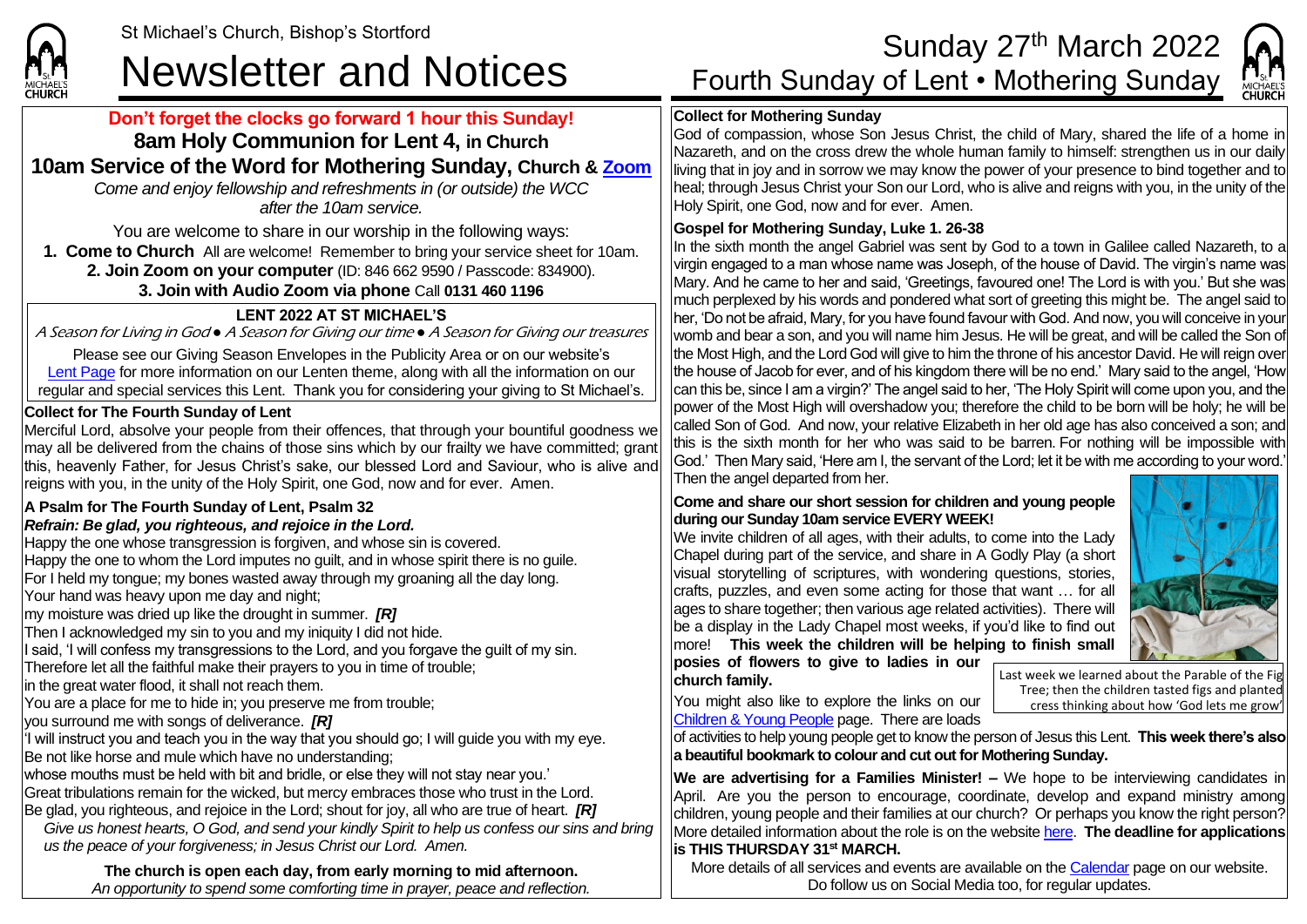

### **Don't forget the clocks go forward 1 hour this Sunday! 8am Holy Communion for Lent 4, in Church**

## **10am Service of the Word for Mothering Sunday, Church & [Zoom](https://zoom.us/)**

*Come and enjoy fellowship and refreshments in (or outside) the WCC after the 10am service.*

You are welcome to share in our worship in the following ways:

**1. Come to Church** All are welcome! Remember to bring your service sheet for 10am.

**2. Join Zoom on your computer** (ID: 846 662 9590 / Passcode: 834900).

### **3. Join with Audio Zoom via phone** Call **0131 460 1196**

### **LENT 2022 AT ST MICHAEL'S**

A Season for Living in God *●* A Season for Giving our time *●* A Season for Giving our treasures

Please see our Giving Season Envelopes in the Publicity Area or on our website's [Lent Page](https://saintmichaelweb.org.uk/Groups/356592/Lent_and_Easter.aspx) for more information on our Lenten theme, along with all the information on our regular and special services this Lent. Thank you for considering your giving to St Michael's.

### **Collect for The Fourth Sunday of Lent**

Merciful Lord, absolve your people from their offences, that through your bountiful goodness we may all be delivered from the chains of those sins which by our frailty we have committed; grant this, heavenly Father, for Jesus Christ's sake, our blessed Lord and Saviour, who is alive and reigns with you, in the unity of the Holy Spirit, one God, now and for ever. Amen.

### **A Psalm for The Fourth Sunday of Lent, Psalm 32**

### *Refrain: Be glad, you righteous, and rejoice in the Lord.*

Happy the one whose transgression is forgiven, and whose sin is covered. Happy the one to whom the Lord imputes no guilt, and in whose spirit there is no guile. For I held my tongue; my bones wasted away through my groaning all the day long. Your hand was heavy upon me day and night; my moisture was dried up like the drought in summer. *[R]* Then I acknowledged my sin to you and my iniquity I did not hide. I said, 'I will confess my transgressions to the Lord, and you forgave the guilt of my sin. Therefore let all the faithful make their prayers to you in time of trouble; in the great water flood, it shall not reach them. You are a place for me to hide in; you preserve me from trouble; you surround me with songs of deliverance. *[R]*  $\vert$ 'I will instruct you and teach you in the way that you should go; I will guide you with my eye. Be not like horse and mule which have no understanding; whose mouths must be held with bit and bridle, or else they will not stay near you.' Great tribulations remain for the wicked, but mercy embraces those who trust in the Lord. Be glad, you righteous, and rejoice in the Lord; shout for joy, all who are true of heart. *[R] Give us honest hearts, O God, and send your kindly Spirit to help us confess our sins and bring us the peace of your forgiveness; in Jesus Christ our Lord. Amen.*

**The church is open each day, from early morning to mid afternoon.**  *An opportunity to spend some comforting time in prayer, peace and reflection.*

# St Michael's Church, Bishop's Stortford<br>Newsletter and Notices Fourth Sunday of Lent • Mothering Sunday MICHAELS

### **Collect for Mothering Sunday**

God of compassion, whose Son Jesus Christ, the child of Mary, shared the life of a home in Nazareth, and on the cross drew the whole human family to himself: strengthen us in our daily living that in joy and in sorrow we may know the power of your presence to bind together and to heal; through Jesus Christ your Son our Lord, who is alive and reigns with you, in the unity of the Holy Spirit, one God, now and for ever. Amen.

### **Gospel for Mothering Sunday, Luke 1. 26-38**

In the sixth month the angel Gabriel was sent by God to a town in Galilee called Nazareth, to a virgin engaged to a man whose name was Joseph, of the house of David. The virgin's name was Mary. And he came to her and said, 'Greetings, favoured one! The Lord is with you.' But she was much perplexed by his words and pondered what sort of greeting this might be. The angel said to her, 'Do not be afraid, Mary, for you have found favour with God. And now, you will conceive in your womb and bear a son, and you will name him Jesus. He will be great, and will be called the Son of the Most High, and the Lord God will give to him the throne of his ancestor David. He will reign over the house of Jacob for ever, and of his kingdom there will be no end.' Mary said to the angel, 'How can this be, since I am a virgin?' The angel said to her, 'The Holy Spirit will come upon you, and the power of the Most High will overshadow you; therefore the child to be born will be holy; he will be called Son of God. And now, your relative Elizabeth in her old age has also conceived a son; and this is the sixth month for her who was said to be barren. For nothing will be impossible with God.' Then Mary said, 'Here am I, the servant of the Lord; let it be with me according to your word.' Then the angel departed from her.

### **Come and share our short session for children and young people during our Sunday 10am service EVERY WEEK!**

We invite children of all ages, with their adults, to come into the Lady Chapel during part of the service, and share in A Godly Play (a short visual storytelling of scriptures, with wondering questions, stories, crafts, puzzles, and even some acting for those that want … for all ages to share together; then various age related activities). There will be a display in the Lady Chapel most weeks, if you'd like to find out more! **This week the children will be helping to finish small posies of flowers to give to ladies in our** 

You might also like to explore the links on our

**church family.**

Last week we learned about the Parable of the Fig Tree; then the children tasted figs and planted cress thinking about how 'God lets me grow'

[Children & Young People](https://saintmichaelweb.org.uk/Groups/310496/Children_and_Young.aspx) page. There are loads

of activities to help young people get to know the person of Jesus this Lent. **This week there's also a beautiful bookmark to colour and cut out for Mothering Sunday.** 

**We are advertising for a Families Minister! –** We hope to be interviewing candidates in April. Are you the person to encourage, coordinate, develop and expand ministry among children, young people and their families at our church? Or perhaps you know the right person? More detailed information about the role is on the websit[e here.](https://saintmichaelweb.org.uk/Groups/329840/Vacancies.aspx) **The deadline for applications is THIS THURSDAY 31st MARCH.**

More details of all services and events are available on the [Calendar](https://saintmichaelweb.org.uk/calendar/month.aspx) page on our website. Do follow us on Social Media too, for regular updates.